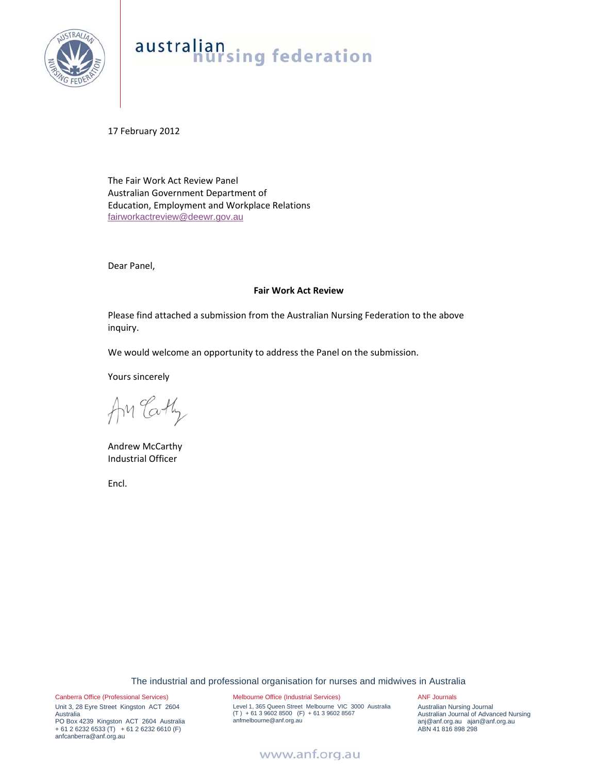

# australian<br>nursing federation

17 February 2012

The Fair Work Act Review Panel Australian Government Department of Education, Employment and Workplace Relations fairworkactreview@deewr.gov.au

Dear Panel,

#### **Fair Work Act Review**

Please find attached a submission from the Australian Nursing Federation to the above inquiry.

We would welcome an opportunity to address the Panel on the submission.

Yours sincerely

An Cathy

Andrew McCarthy Industrial Officer

Encl.

The industrial and professional organisation for nurses and midwives in Australia

Canberra Office (Professional Services) Unit 3, 28 Eyre Street Kingston ACT 2604 Australia PO Box 4239 Kingston ACT 2604 Australia + 61 2 6232 6533 (T) + 61 2 6232 6610 (F) anfcanberra@anf.org.au

Melbourne Office (Industrial Services) Level 1, 365 Queen Street Melbourne VIC 3000 Australia (T ) + 61 3 9602 8500 (F) + 61 3 9602 8567 anfmelbourne@anf.org.au

ANF Journals

Australian Nursing Journal Australian Journal of Advanced Nursing anj@anf.org.au ajan@anf.org.au ABN 41 816 898 298

### www.anf.org.au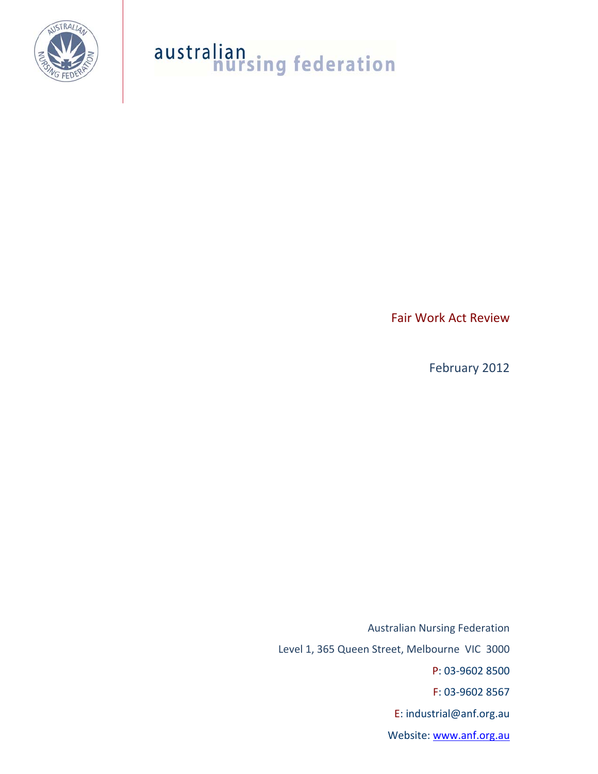

# australian<br>nursing federation

Fair Work Act Review

February 2012

Australian Nursing Federation Level 1, 365 Queen Street, Melbourne VIC 3000 P: 03‐9602 8500 F: 03‐9602 8567 E: industrial@anf.org.au Website: www.anf.org.au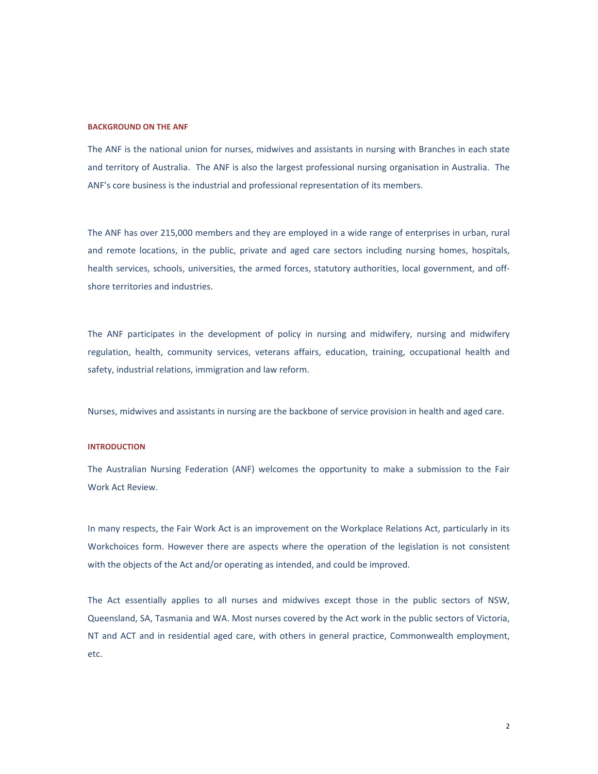#### **BACKGROUND ON THE ANF**

The ANF is the national union for nurses, midwives and assistants in nursing with Branches in each state and territory of Australia. The ANF is also the largest professional nursing organisation in Australia. The ANF's core business is the industrial and professional representation of its members.

The ANF has over 215,000 members and they are employed in a wide range of enterprises in urban, rural and remote locations, in the public, private and aged care sectors including nursing homes, hospitals, health services, schools, universities, the armed forces, statutory authorities, local government, and offshore territories and industries.

The ANF participates in the development of policy in nursing and midwifery, nursing and midwifery regulation, health, community services, veterans affairs, education, training, occupational health and safety, industrial relations, immigration and law reform.

Nurses, midwives and assistants in nursing are the backbone of service provision in health and aged care.

#### **INTRODUCTION**

The Australian Nursing Federation (ANF) welcomes the opportunity to make a submission to the Fair Work Act Review.

In many respects, the Fair Work Act is an improvement on the Workplace Relations Act, particularly in its Workchoices form. However there are aspects where the operation of the legislation is not consistent with the objects of the Act and/or operating as intended, and could be improved.

The Act essentially applies to all nurses and midwives except those in the public sectors of NSW, Queensland, SA, Tasmania and WA. Most nurses covered by the Act work in the public sectors of Victoria, NT and ACT and in residential aged care, with others in general practice, Commonwealth employment, etc.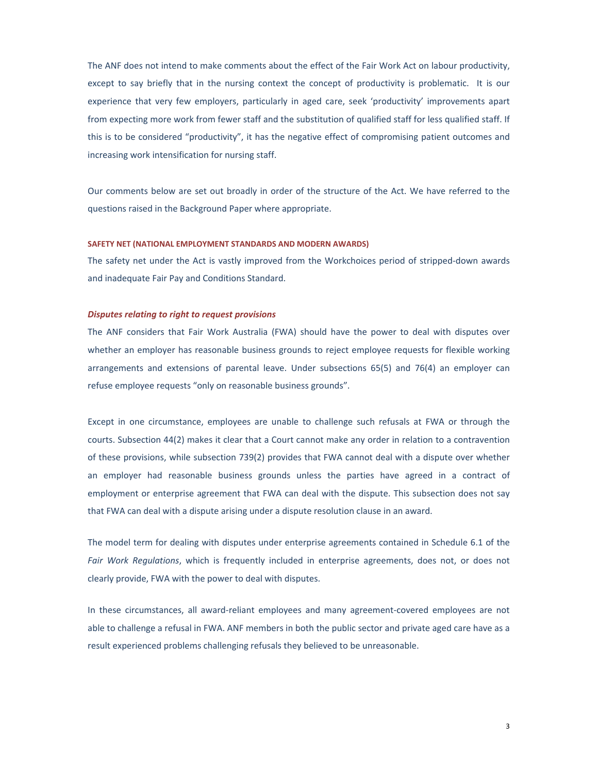The ANF does not intend to make comments about the effect of the Fair Work Act on labour productivity, except to say briefly that in the nursing context the concept of productivity is problematic. It is our experience that very few employers, particularly in aged care, seek 'productivity' improvements apart from expecting more work from fewer staff and the substitution of qualified staff for less qualified staff. If this is to be considered "productivity", it has the negative effect of compromising patient outcomes and increasing work intensification for nursing staff.

Our comments below are set out broadly in order of the structure of the Act. We have referred to the questions raised in the Background Paper where appropriate.

#### **SAFETY NET (NATIONAL EMPLOYMENT STANDARDS AND MODERN AWARDS)**

The safety net under the Act is vastly improved from the Workchoices period of stripped-down awards and inadequate Fair Pay and Conditions Standard.

#### *Disputes relating to right to request provisions*

The ANF considers that Fair Work Australia (FWA) should have the power to deal with disputes over whether an employer has reasonable business grounds to reject employee requests for flexible working arrangements and extensions of parental leave. Under subsections 65(5) and 76(4) an employer can refuse employee requests "only on reasonable business grounds".

Except in one circumstance, employees are unable to challenge such refusals at FWA or through the courts. Subsection 44(2) makes it clear that a Court cannot make any order in relation to a contravention of these provisions, while subsection 739(2) provides that FWA cannot deal with a dispute over whether an employer had reasonable business grounds unless the parties have agreed in a contract of employment or enterprise agreement that FWA can deal with the dispute. This subsection does not say that FWA can deal with a dispute arising under a dispute resolution clause in an award.

The model term for dealing with disputes under enterprise agreements contained in Schedule 6.1 of the *Fair Work Regulations*, which is frequently included in enterprise agreements, does not, or does not clearly provide, FWA with the power to deal with disputes.

In these circumstances, all award‐reliant employees and many agreement‐covered employees are not able to challenge a refusal in FWA. ANF members in both the public sector and private aged care have as a result experienced problems challenging refusals they believed to be unreasonable.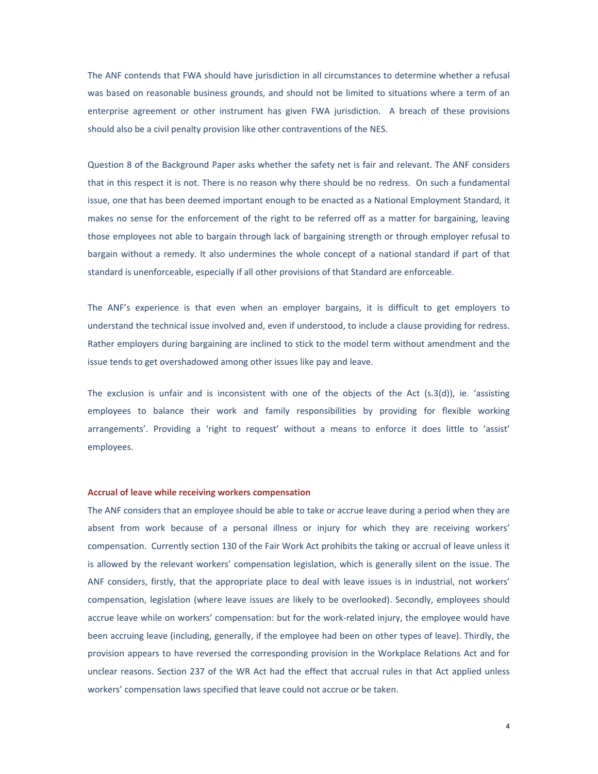The ANF contends that FWA should have jurisdiction in all circumstances to determine whether a refusal was based on reasonable business grounds, and should not be limited to situations where a term of an enterprise agreement or other instrument has given FWA jurisdiction. A breach of these provisions should also be a civil penalty provision like other contraventions of the NES.

Question 8 of the Background Paper asks whether the safety net is fair and relevant. The ANF considers that in this respect it is not. There is no reason why there should be no redress. On such a fundamental issue, one that has been deemed important enough to be enacted as a National Employment Standard, it makes no sense for the enforcement of the right to be referred off as a matter for bargaining, leaving those employees not able to bargain through lack of bargaining strength or through employer refusal to bargain without a remedy. It also undermines the whole concept of a national standard if part of that standard is unenforceable, especially if all other provisions of that Standard are enforceable.

The ANF's experience is that even when an employer bargains, it is difficult to get employers to understand the technical issue involved and, even if understood, to include a clause providing for redress. Rather employers during bargaining are inclined to stick to the model term without amendment and the issue tends to get overshadowed among other issues like pay and leave.

The exclusion is unfair and is inconsistent with one of the objects of the Act (s.3(d)), ie. 'assisting employees to balance their work and family responsibilities by providing for flexible working arrangements'. Providing a 'right to request' without a means to enforce it does little to 'assist' employees.

#### **Accrual of leave while receiving workers compensation**

The ANF considers that an employee should be able to take or accrue leave during a period when they are absent from work because of a personal illness or injury for which they are receiving workers' compensation. Currently section 130 of the Fair Work Act prohibits the taking or accrual of leave unless it is allowed by the relevant workers' compensation legislation, which is generally silent on the issue. The ANF considers, firstly, that the appropriate place to deal with leave issues is in industrial, not workers' compensation, legislation (where leave issues are likely to be overlooked). Secondly, employees should accrue leave while on workers' compensation: but for the work-related injury, the employee would have been accruing leave (including, generally, if the employee had been on other types of leave). Thirdly, the provision appears to have reversed the corresponding provision in the Workplace Relations Act and for unclear reasons. Section 237 of the WR Act had the effect that accrual rules in that Act applied unless workers' compensation laws specified that leave could not accrue or be taken.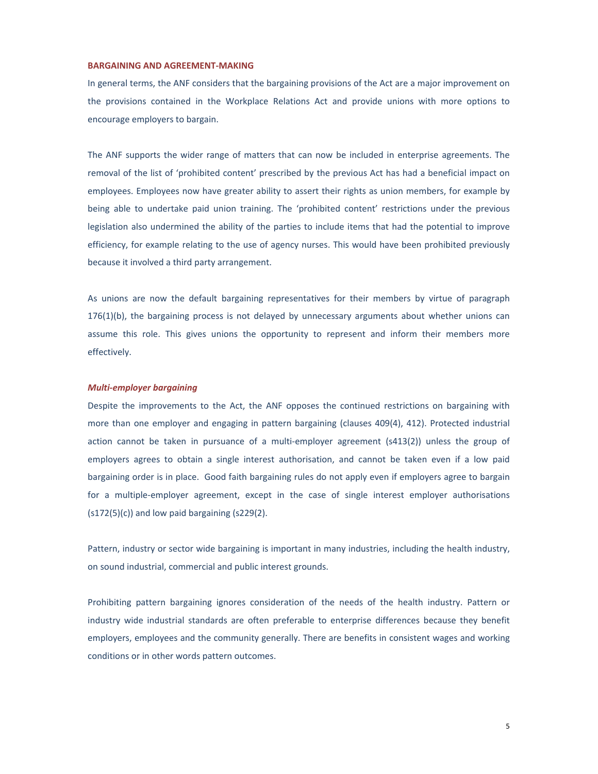#### **BARGAINING AND AGREEMENT‐MAKING**

In general terms, the ANF considers that the bargaining provisions of the Act are a major improvement on the provisions contained in the Workplace Relations Act and provide unions with more options to encourage employers to bargain.

The ANF supports the wider range of matters that can now be included in enterprise agreements. The removal of the list of 'prohibited content' prescribed by the previous Act has had a beneficial impact on employees. Employees now have greater ability to assert their rights as union members, for example by being able to undertake paid union training. The 'prohibited content' restrictions under the previous legislation also undermined the ability of the parties to include items that had the potential to improve efficiency, for example relating to the use of agency nurses. This would have been prohibited previously because it involved a third party arrangement.

As unions are now the default bargaining representatives for their members by virtue of paragraph 176(1)(b), the bargaining process is not delayed by unnecessary arguments about whether unions can assume this role. This gives unions the opportunity to represent and inform their members more effectively.

#### *Multi‐employer bargaining*

Despite the improvements to the Act, the ANF opposes the continued restrictions on bargaining with more than one employer and engaging in pattern bargaining (clauses 409(4), 412). Protected industrial action cannot be taken in pursuance of a multi-employer agreement (s413(2)) unless the group of employers agrees to obtain a single interest authorisation, and cannot be taken even if a low paid bargaining order is in place. Good faith bargaining rules do not apply even if employers agree to bargain for a multiple-employer agreement, except in the case of single interest employer authorisations  $(s172(5)(c))$  and low paid bargaining  $(s229(2))$ .

Pattern, industry or sector wide bargaining is important in many industries, including the health industry, on sound industrial, commercial and public interest grounds.

Prohibiting pattern bargaining ignores consideration of the needs of the health industry. Pattern or industry wide industrial standards are often preferable to enterprise differences because they benefit employers, employees and the community generally. There are benefits in consistent wages and working conditions or in other words pattern outcomes.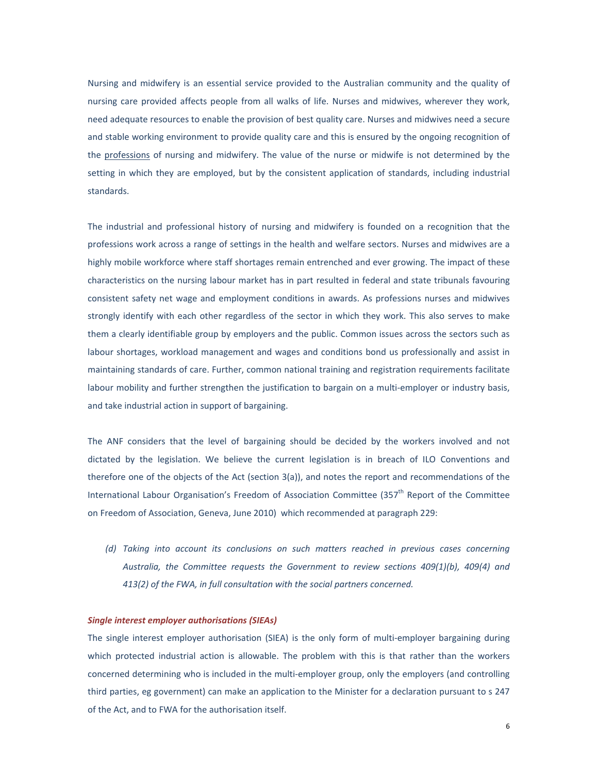Nursing and midwifery is an essential service provided to the Australian community and the quality of nursing care provided affects people from all walks of life. Nurses and midwives, wherever they work, need adequate resources to enable the provision of best quality care. Nurses and midwives need a secure and stable working environment to provide quality care and this is ensured by the ongoing recognition of the professions of nursing and midwifery. The value of the nurse or midwife is not determined by the setting in which they are employed, but by the consistent application of standards, including industrial standards.

The industrial and professional history of nursing and midwifery is founded on a recognition that the professions work across a range of settings in the health and welfare sectors. Nurses and midwives are a highly mobile workforce where staff shortages remain entrenched and ever growing. The impact of these characteristics on the nursing labour market has in part resulted in federal and state tribunals favouring consistent safety net wage and employment conditions in awards. As professions nurses and midwives strongly identify with each other regardless of the sector in which they work. This also serves to make them a clearly identifiable group by employers and the public. Common issues across the sectors such as labour shortages, workload management and wages and conditions bond us professionally and assist in maintaining standards of care. Further, common national training and registration requirements facilitate labour mobility and further strengthen the justification to bargain on a multi-employer or industry basis, and take industrial action in support of bargaining.

The ANF considers that the level of bargaining should be decided by the workers involved and not dictated by the legislation. We believe the current legislation is in breach of ILO Conventions and therefore one of the objects of the Act (section 3(a)), and notes the report and recommendations of the International Labour Organisation's Freedom of Association Committee (357<sup>th</sup> Report of the Committee on Freedom of Association, Geneva, June 2010) which recommended at paragraph 229:

*(d) Taking into account its conclusions on such matters reached in previous cases concerning Australia, the Committee requests the Government to review sections 409(1)(b), 409(4) and 413(2) of the FWA, in full consultation with the social partners concerned.*

#### *Single interest employer authorisations (SIEAs)*

The single interest employer authorisation (SIEA) is the only form of multi-employer bargaining during which protected industrial action is allowable. The problem with this is that rather than the workers concerned determining who is included in the multi-employer group, only the employers (and controlling third parties, eg government) can make an application to the Minister for a declaration pursuant to s 247 of the Act, and to FWA for the authorisation itself.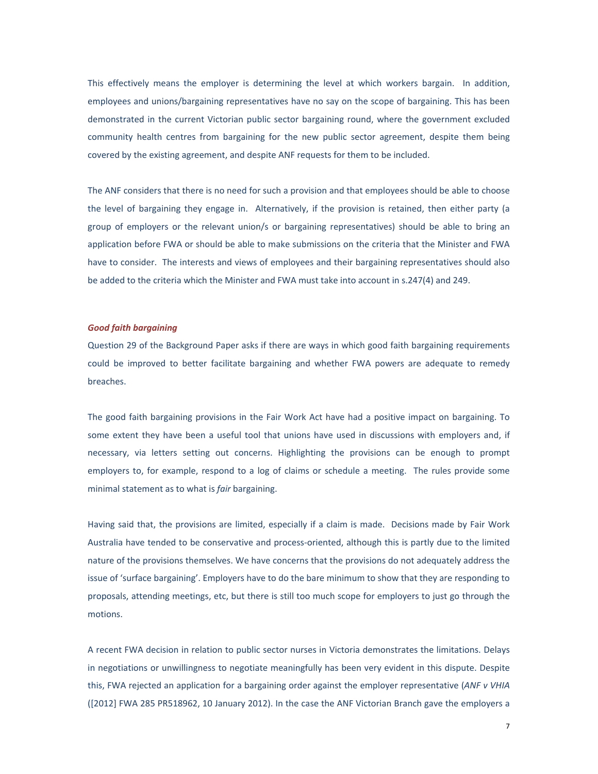This effectively means the employer is determining the level at which workers bargain. In addition, employees and unions/bargaining representatives have no say on the scope of bargaining. This has been demonstrated in the current Victorian public sector bargaining round, where the government excluded community health centres from bargaining for the new public sector agreement, despite them being covered by the existing agreement, and despite ANF requests for them to be included.

The ANF considers that there is no need for such a provision and that employees should be able to choose the level of bargaining they engage in. Alternatively, if the provision is retained, then either party (a group of employers or the relevant union/s or bargaining representatives) should be able to bring an application before FWA or should be able to make submissions on the criteria that the Minister and FWA have to consider. The interests and views of employees and their bargaining representatives should also be added to the criteria which the Minister and FWA must take into account in s.247(4) and 249.

#### *Good faith bargaining*

Question 29 of the Background Paper asks if there are ways in which good faith bargaining requirements could be improved to better facilitate bargaining and whether FWA powers are adequate to remedy breaches.

The good faith bargaining provisions in the Fair Work Act have had a positive impact on bargaining. To some extent they have been a useful tool that unions have used in discussions with employers and, if necessary, via letters setting out concerns. Highlighting the provisions can be enough to prompt employers to, for example, respond to a log of claims or schedule a meeting. The rules provide some minimal statement as to what is *fair* bargaining.

Having said that, the provisions are limited, especially if a claim is made. Decisions made by Fair Work Australia have tended to be conservative and process‐oriented, although this is partly due to the limited nature of the provisions themselves. We have concerns that the provisions do not adequately address the issue of 'surface bargaining'. Employers have to do the bare minimum to show that they are responding to proposals, attending meetings, etc, but there is still too much scope for employers to just go through the motions.

A recent FWA decision in relation to public sector nurses in Victoria demonstrates the limitations. Delays in negotiations or unwillingness to negotiate meaningfully has been very evident in this dispute. Despite this, FWA rejected an application for a bargaining order against the employer representative (*ANF v VHIA* ([2012] FWA 285 PR518962, 10 January 2012). In the case the ANF Victorian Branch gave the employers a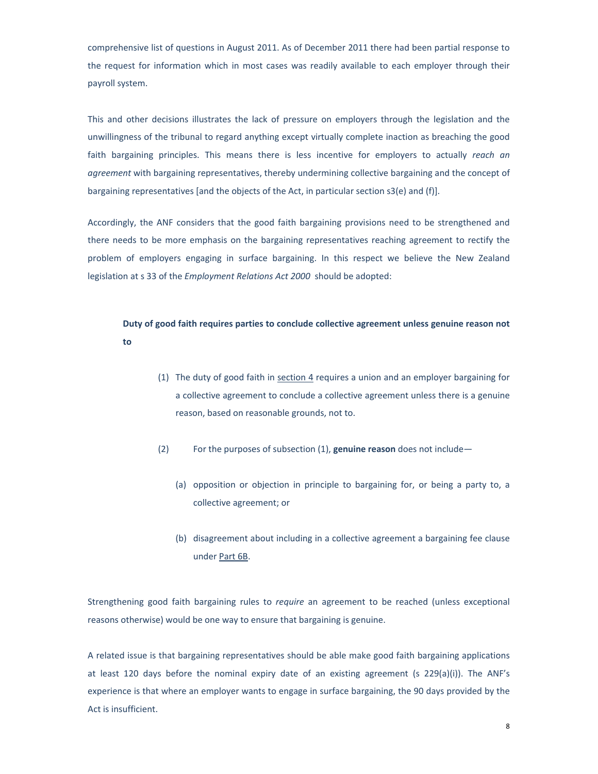comprehensive list of questions in August 2011. As of December 2011 there had been partial response to the request for information which in most cases was readily available to each employer through their payroll system.

This and other decisions illustrates the lack of pressure on employers through the legislation and the unwillingness of the tribunal to regard anything except virtually complete inaction as breaching the good faith bargaining principles. This means there is less incentive for employers to actually *reach an agreement* with bargaining representatives, thereby undermining collective bargaining and the concept of bargaining representatives [and the objects of the Act, in particular section s3(e) and (f)].

Accordingly, the ANF considers that the good faith bargaining provisions need to be strengthened and there needs to be more emphasis on the bargaining representatives reaching agreement to rectify the problem of employers engaging in surface bargaining. In this respect we believe the New Zealand legislation at s 33 of the *Employment Relations Act 2000* should be adopted:

## **Duty of good faith requires parties to conclude collective agreement unless genuine reason not to**

- (1) The duty of good faith in section 4 requires a union and an employer bargaining for a collective agreement to conclude a collective agreement unless there is a genuine reason, based on reasonable grounds, not to.
- (2) For the purposes of subsection (1), **genuine reason** does not include—
	- (a) opposition or objection in principle to bargaining for, or being a party to, a collective agreement; or
	- (b) disagreement about including in a collective agreement a bargaining fee clause under Part 6B.

Strengthening good faith bargaining rules to *require* an agreement to be reached (unless exceptional reasons otherwise) would be one way to ensure that bargaining is genuine.

A related issue is that bargaining representatives should be able make good faith bargaining applications at least 120 days before the nominal expiry date of an existing agreement (s 229(a)(i)). The ANF's experience is that where an employer wants to engage in surface bargaining, the 90 days provided by the Act is insufficient.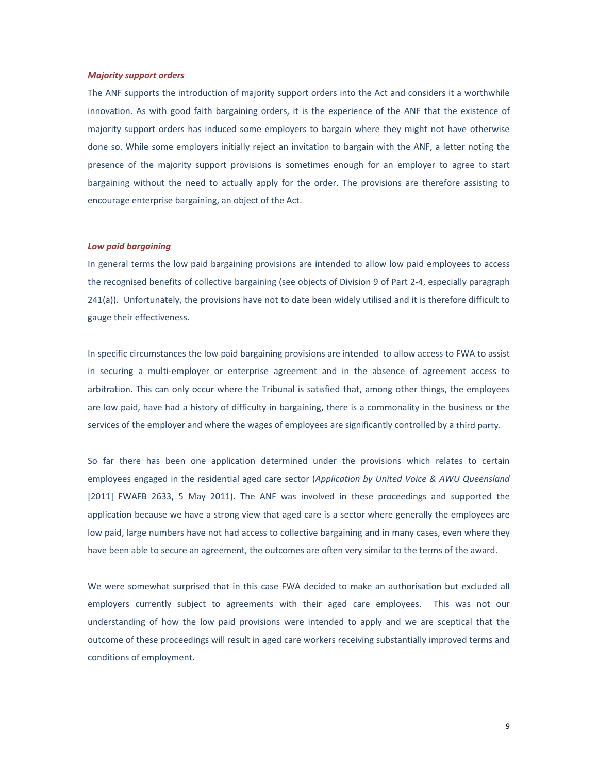#### *Majority support orders*

The ANF supports the introduction of majority support orders into the Act and considers it a worthwhile innovation. As with good faith bargaining orders, it is the experience of the ANF that the existence of majority support orders has induced some employers to bargain where they might not have otherwise done so. While some employers initially reject an invitation to bargain with the ANF, a letter noting the presence of the majority support provisions is sometimes enough for an employer to agree to start bargaining without the need to actually apply for the order. The provisions are therefore assisting to encourage enterprise bargaining, an object of the Act.

#### *Low paid bargaining*

In general terms the low paid bargaining provisions are intended to allow low paid employees to access the recognised benefits of collective bargaining (see objects of Division 9 of Part 2‐4, especially paragraph 241(a)). Unfortunately, the provisions have not to date been widely utilised and it is therefore difficult to gauge their effectiveness.

In specific circumstances the low paid bargaining provisions are intended to allow access to FWA to assist in securing a multi-employer or enterprise agreement and in the absence of agreement access to arbitration. This can only occur where the Tribunal is satisfied that, among other things, the employees are low paid, have had a history of difficulty in bargaining, there is a commonality in the business or the services of the employer and where the wages of employees are significantly controlled by a third party.

So far there has been one application determined under the provisions which relates to certain employees engaged in the residential aged care sector (*Application by United Voice & AWU Queensland* [2011] FWAFB 2633, 5 May 2011). The ANF was involved in these proceedings and supported the application because we have a strong view that aged care is a sector where generally the employees are low paid, large numbers have not had access to collective bargaining and in many cases, even where they have been able to secure an agreement, the outcomes are often very similar to the terms of the award.

We were somewhat surprised that in this case FWA decided to make an authorisation but excluded all employers currently subject to agreements with their aged care employees. This was not our understanding of how the low paid provisions were intended to apply and we are sceptical that the outcome of these proceedings will result in aged care workers receiving substantially improved terms and conditions of employment.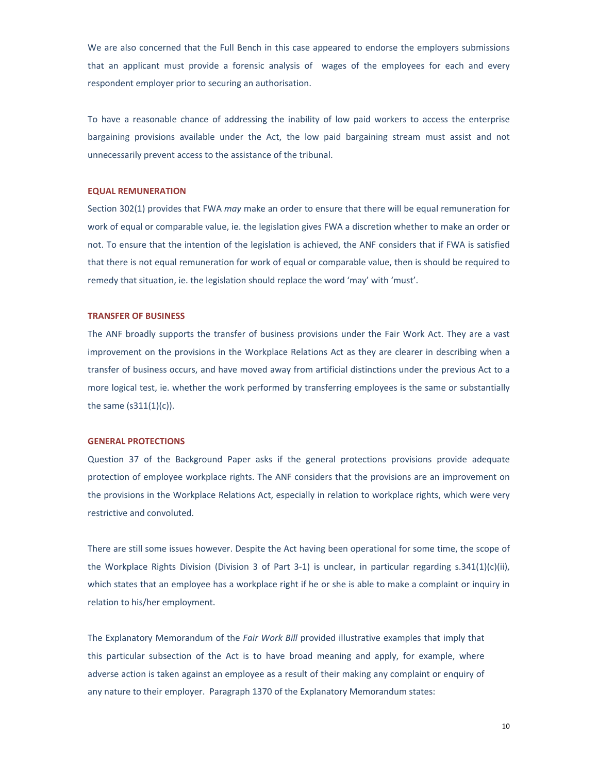We are also concerned that the Full Bench in this case appeared to endorse the employers submissions that an applicant must provide a forensic analysis of wages of the employees for each and every respondent employer prior to securing an authorisation.

To have a reasonable chance of addressing the inability of low paid workers to access the enterprise bargaining provisions available under the Act, the low paid bargaining stream must assist and not unnecessarily prevent access to the assistance of the tribunal.

#### **EQUAL REMUNERATION**

Section 302(1) provides that FWA *may* make an order to ensure that there will be equal remuneration for work of equal or comparable value, ie. the legislation gives FWA a discretion whether to make an order or not. To ensure that the intention of the legislation is achieved, the ANF considers that if FWA is satisfied that there is not equal remuneration for work of equal or comparable value, then is should be required to remedy that situation, ie. the legislation should replace the word 'may' with 'must'.

#### **TRANSFER OF BUSINESS**

The ANF broadly supports the transfer of business provisions under the Fair Work Act. They are a vast improvement on the provisions in the Workplace Relations Act as they are clearer in describing when a transfer of business occurs, and have moved away from artificial distinctions under the previous Act to a more logical test, ie. whether the work performed by transferring employees is the same or substantially the same (s311(1)(c)).

#### **GENERAL PROTECTIONS**

Question 37 of the Background Paper asks if the general protections provisions provide adequate protection of employee workplace rights. The ANF considers that the provisions are an improvement on the provisions in the Workplace Relations Act, especially in relation to workplace rights, which were very restrictive and convoluted.

There are still some issues however. Despite the Act having been operational for some time, the scope of the Workplace Rights Division (Division 3 of Part 3‐1) is unclear, in particular regarding s.341(1)(c)(ii), which states that an employee has a workplace right if he or she is able to make a complaint or inquiry in relation to his/her employment.

The Explanatory Memorandum of the *Fair Work Bill* provided illustrative examples that imply that this particular subsection of the Act is to have broad meaning and apply, for example, where adverse action is taken against an employee as a result of their making any complaint or enquiry of any nature to their employer. Paragraph 1370 of the Explanatory Memorandum states: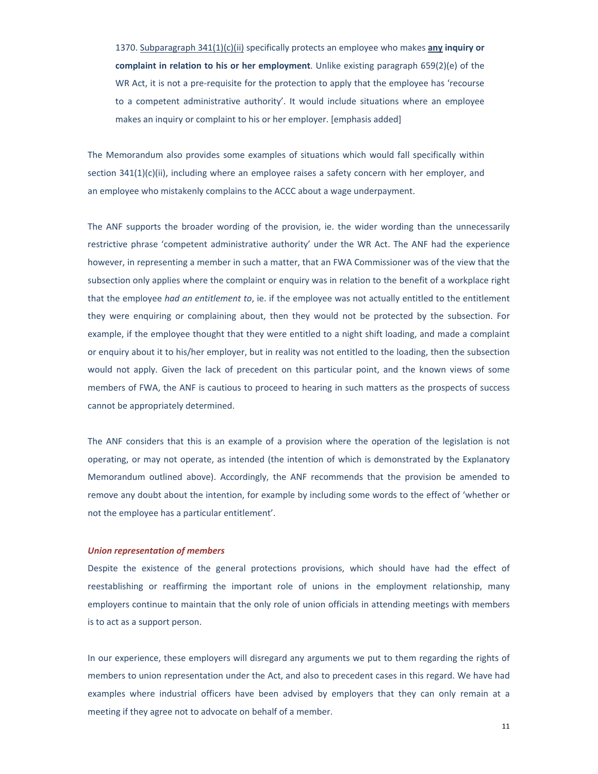1370. Subparagraph 341(1)(c)(ii) specifically protects an employee who makes **any inquiry or complaint in relation to his or her employment**. Unlike existing paragraph 659(2)(e) of the WR Act, it is not a pre-requisite for the protection to apply that the employee has 'recourse to a competent administrative authority'. It would include situations where an employee makes an inquiry or complaint to his or her employer. [emphasis added]

The Memorandum also provides some examples of situations which would fall specifically within section 341(1)(c)(ii), including where an employee raises a safety concern with her employer, and an employee who mistakenly complains to the ACCC about a wage underpayment.

The ANF supports the broader wording of the provision, ie. the wider wording than the unnecessarily restrictive phrase 'competent administrative authority' under the WR Act. The ANF had the experience however, in representing a member in such a matter, that an FWA Commissioner was of the view that the subsection only applies where the complaint or enquiry was in relation to the benefit of a workplace right that the employee *had an entitlement to*, ie. if the employee was not actually entitled to the entitlement they were enquiring or complaining about, then they would not be protected by the subsection. For example, if the employee thought that they were entitled to a night shift loading, and made a complaint or enquiry about it to his/her employer, but in reality was not entitled to the loading, then the subsection would not apply. Given the lack of precedent on this particular point, and the known views of some members of FWA, the ANF is cautious to proceed to hearing in such matters as the prospects of success cannot be appropriately determined.

The ANF considers that this is an example of a provision where the operation of the legislation is not operating, or may not operate, as intended (the intention of which is demonstrated by the Explanatory Memorandum outlined above). Accordingly, the ANF recommends that the provision be amended to remove any doubt about the intention, for example by including some words to the effect of 'whether or not the employee has a particular entitlement'.

#### *Union representation of members*

Despite the existence of the general protections provisions, which should have had the effect of reestablishing or reaffirming the important role of unions in the employment relationship, many employers continue to maintain that the only role of union officials in attending meetings with members is to act as a support person.

In our experience, these employers will disregard any arguments we put to them regarding the rights of members to union representation under the Act, and also to precedent cases in this regard. We have had examples where industrial officers have been advised by employers that they can only remain at a meeting if they agree not to advocate on behalf of a member.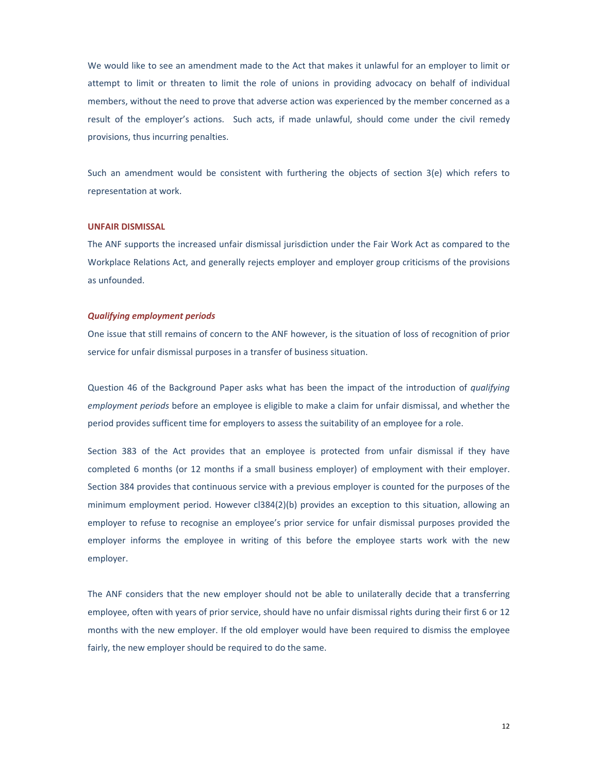We would like to see an amendment made to the Act that makes it unlawful for an employer to limit or attempt to limit or threaten to limit the role of unions in providing advocacy on behalf of individual members, without the need to prove that adverse action was experienced by the member concerned as a result of the employer's actions. Such acts, if made unlawful, should come under the civil remedy provisions, thus incurring penalties.

Such an amendment would be consistent with furthering the objects of section 3(e) which refers to representation at work.

#### **UNFAIR DISMISSAL**

The ANF supports the increased unfair dismissal jurisdiction under the Fair Work Act as compared to the Workplace Relations Act, and generally rejects employer and employer group criticisms of the provisions as unfounded.

#### *Qualifying employment periods*

One issue that still remains of concern to the ANF however, is the situation of loss of recognition of prior service for unfair dismissal purposes in a transfer of business situation.

Question 46 of the Background Paper asks what has been the impact of the introduction of *qualifying employment periods* before an employee is eligible to make a claim for unfair dismissal, and whether the period provides sufficent time for employers to assess the suitability of an employee for a role.

Section 383 of the Act provides that an employee is protected from unfair dismissal if they have completed 6 months (or 12 months if a small business employer) of employment with their employer. Section 384 provides that continuous service with a previous employer is counted for the purposes of the minimum employment period. However cl384(2)(b) provides an exception to this situation, allowing an employer to refuse to recognise an employee's prior service for unfair dismissal purposes provided the employer informs the employee in writing of this before the employee starts work with the new employer.

The ANF considers that the new employer should not be able to unilaterally decide that a transferring employee, often with years of prior service, should have no unfair dismissal rights during their first 6 or 12 months with the new employer. If the old employer would have been required to dismiss the employee fairly, the new employer should be required to do the same.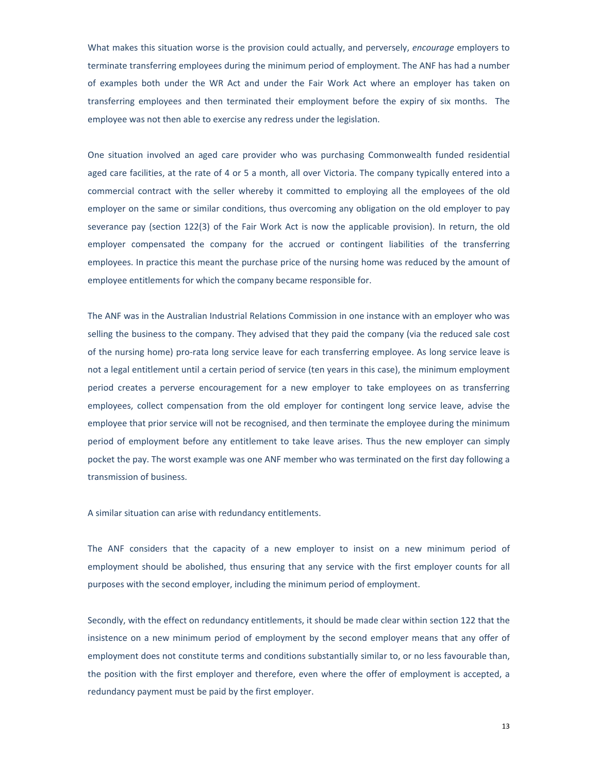What makes this situation worse is the provision could actually, and perversely, *encourage* employers to terminate transferring employees during the minimum period of employment. The ANF has had a number of examples both under the WR Act and under the Fair Work Act where an employer has taken on transferring employees and then terminated their employment before the expiry of six months. The employee was not then able to exercise any redress under the legislation.

One situation involved an aged care provider who was purchasing Commonwealth funded residential aged care facilities, at the rate of 4 or 5 a month, all over Victoria. The company typically entered into a commercial contract with the seller whereby it committed to employing all the employees of the old employer on the same or similar conditions, thus overcoming any obligation on the old employer to pay severance pay (section 122(3) of the Fair Work Act is now the applicable provision). In return, the old employer compensated the company for the accrued or contingent liabilities of the transferring employees. In practice this meant the purchase price of the nursing home was reduced by the amount of employee entitlements for which the company became responsible for.

The ANF was in the Australian Industrial Relations Commission in one instance with an employer who was selling the business to the company. They advised that they paid the company (via the reduced sale cost of the nursing home) pro‐rata long service leave for each transferring employee. As long service leave is not a legal entitlement until a certain period of service (ten years in this case), the minimum employment period creates a perverse encouragement for a new employer to take employees on as transferring employees, collect compensation from the old employer for contingent long service leave, advise the employee that prior service will not be recognised, and then terminate the employee during the minimum period of employment before any entitlement to take leave arises. Thus the new employer can simply pocket the pay. The worst example was one ANF member who was terminated on the first day following a transmission of business.

A similar situation can arise with redundancy entitlements.

The ANF considers that the capacity of a new employer to insist on a new minimum period of employment should be abolished, thus ensuring that any service with the first employer counts for all purposes with the second employer, including the minimum period of employment.

Secondly, with the effect on redundancy entitlements, it should be made clear within section 122 that the insistence on a new minimum period of employment by the second employer means that any offer of employment does not constitute terms and conditions substantially similar to, or no less favourable than, the position with the first employer and therefore, even where the offer of employment is accepted, a redundancy payment must be paid by the first employer.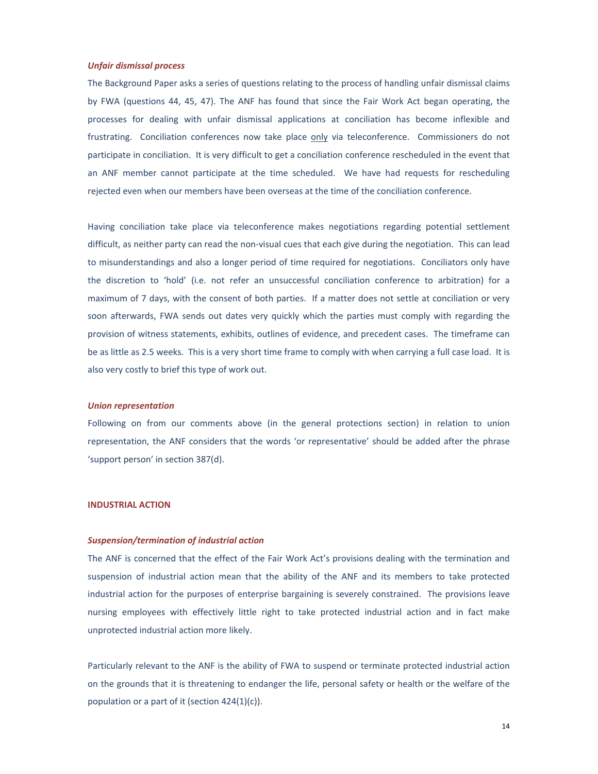#### *Unfair dismissal process*

The Background Paper asks a series of questions relating to the process of handling unfair dismissal claims by FWA (questions 44, 45, 47). The ANF has found that since the Fair Work Act began operating, the processes for dealing with unfair dismissal applications at conciliation has become inflexible and frustrating. Conciliation conferences now take place only via teleconference. Commissioners do not participate in conciliation. It is very difficult to get a conciliation conference rescheduled in the event that an ANF member cannot participate at the time scheduled. We have had requests for rescheduling rejected even when our members have been overseas at the time of the conciliation conference.

Having conciliation take place via teleconference makes negotiations regarding potential settlement difficult, as neither party can read the non‐visual cues that each give during the negotiation. This can lead to misunderstandings and also a longer period of time required for negotiations. Conciliators only have the discretion to 'hold' (i.e. not refer an unsuccessful conciliation conference to arbitration) for a maximum of 7 days, with the consent of both parties. If a matter does not settle at conciliation or very soon afterwards, FWA sends out dates very quickly which the parties must comply with regarding the provision of witness statements, exhibits, outlines of evidence, and precedent cases. The timeframe can be as little as 2.5 weeks. This is a very short time frame to comply with when carrying a full case load. It is also very costly to brief this type of work out.

#### *Union representation*

Following on from our comments above (in the general protections section) in relation to union representation, the ANF considers that the words 'or representative' should be added after the phrase 'support person' in section 387(d).

#### **INDUSTRIAL ACTION**

#### *Suspension/termination of industrial action*

The ANF is concerned that the effect of the Fair Work Act's provisions dealing with the termination and suspension of industrial action mean that the ability of the ANF and its members to take protected industrial action for the purposes of enterprise bargaining is severely constrained. The provisions leave nursing employees with effectively little right to take protected industrial action and in fact make unprotected industrial action more likely.

Particularly relevant to the ANF is the ability of FWA to suspend or terminate protected industrial action on the grounds that it is threatening to endanger the life, personal safety or health or the welfare of the population or a part of it (section 424(1)(c)).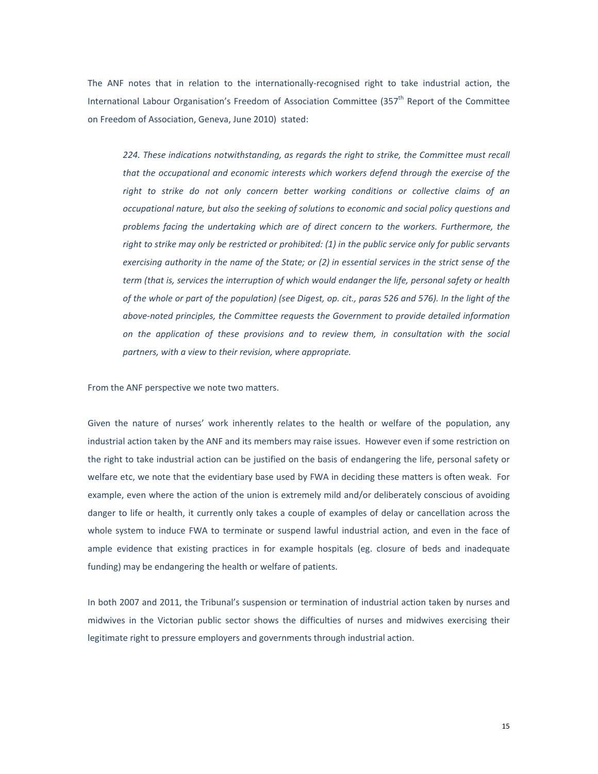The ANF notes that in relation to the internationally-recognised right to take industrial action, the International Labour Organisation's Freedom of Association Committee  $(357<sup>th</sup>$  Report of the Committee on Freedom of Association, Geneva, June 2010) stated:

*224. These indications notwithstanding, as regards the right to strike, the Committee must recall that the occupational and economic interests which workers defend through the exercise of the right to strike do not only concern better working conditions or collective claims of an occupational nature, but also the seeking of solutions to economic and social policy questions and problems facing the undertaking which are of direct concern to the workers. Furthermore, the* right to strike may only be restricted or prohibited: (1) in the public service only for public servants exercising authority in the name of the State; or (2) in essential services in the strict sense of the *term (that is, services the interruption of which would endanger the life, personal safety or health* of the whole or part of the population) (see Digest, op. cit., paras 526 and 576). In the light of the *above‐noted principles, the Committee requests the Government to provide detailed information on the application of these provisions and to review them, in consultation with the social partners, with a view to their revision, where appropriate.*

From the ANF perspective we note two matters.

Given the nature of nurses' work inherently relates to the health or welfare of the population, any industrial action taken by the ANF and its members may raise issues. However even if some restriction on the right to take industrial action can be justified on the basis of endangering the life, personal safety or welfare etc, we note that the evidentiary base used by FWA in deciding these matters is often weak. For example, even where the action of the union is extremely mild and/or deliberately conscious of avoiding danger to life or health, it currently only takes a couple of examples of delay or cancellation across the whole system to induce FWA to terminate or suspend lawful industrial action, and even in the face of ample evidence that existing practices in for example hospitals (eg. closure of beds and inadequate funding) may be endangering the health or welfare of patients.

In both 2007 and 2011, the Tribunal's suspension or termination of industrial action taken by nurses and midwives in the Victorian public sector shows the difficulties of nurses and midwives exercising their legitimate right to pressure employers and governments through industrial action.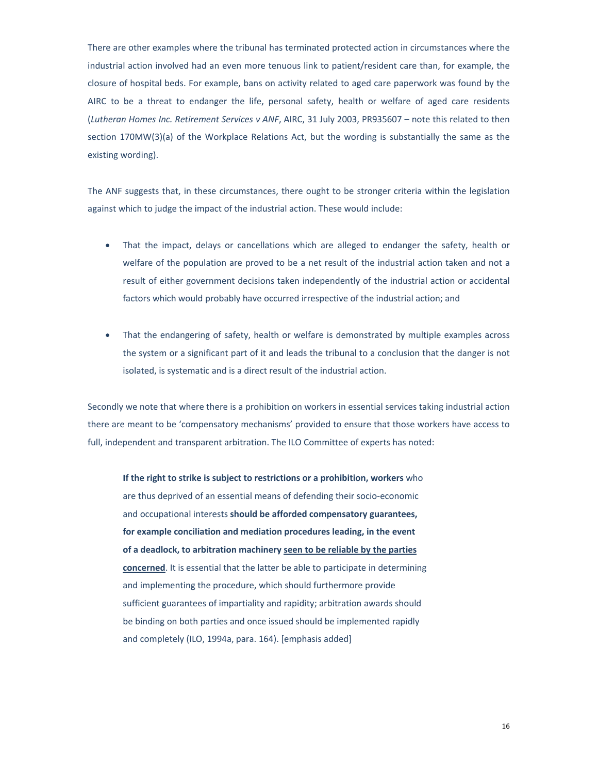There are other examples where the tribunal has terminated protected action in circumstances where the industrial action involved had an even more tenuous link to patient/resident care than, for example, the closure of hospital beds. For example, bans on activity related to aged care paperwork was found by the AIRC to be a threat to endanger the life, personal safety, health or welfare of aged care residents (*Lutheran Homes Inc. Retirement Services v ANF*, AIRC, 31 July 2003, PR935607 – note this related to then section 170MW(3)(a) of the Workplace Relations Act, but the wording is substantially the same as the existing wording).

The ANF suggests that, in these circumstances, there ought to be stronger criteria within the legislation against which to judge the impact of the industrial action. These would include:

- That the impact, delays or cancellations which are alleged to endanger the safety, health or welfare of the population are proved to be a net result of the industrial action taken and not a result of either government decisions taken independently of the industrial action or accidental factors which would probably have occurred irrespective of the industrial action; and
- That the endangering of safety, health or welfare is demonstrated by multiple examples across the system or a significant part of it and leads the tribunal to a conclusion that the danger is not isolated, is systematic and is a direct result of the industrial action.

Secondly we note that where there is a prohibition on workers in essential services taking industrial action there are meant to be 'compensatory mechanisms' provided to ensure that those workers have access to full, independent and transparent arbitration. The ILO Committee of experts has noted:

**If the right to strike is subject to restrictions or a prohibition, workers** who are thus deprived of an essential means of defending their socio‐economic and occupational interests **should be afforded compensatory guarantees, for example conciliation and mediation procedures leading, in the event of a deadlock, to arbitration machinery seen to be reliable by the parties concerned**. It is essential that the latter be able to participate in determining and implementing the procedure, which should furthermore provide sufficient guarantees of impartiality and rapidity; arbitration awards should be binding on both parties and once issued should be implemented rapidly and completely (ILO, 1994a, para. 164). [emphasis added]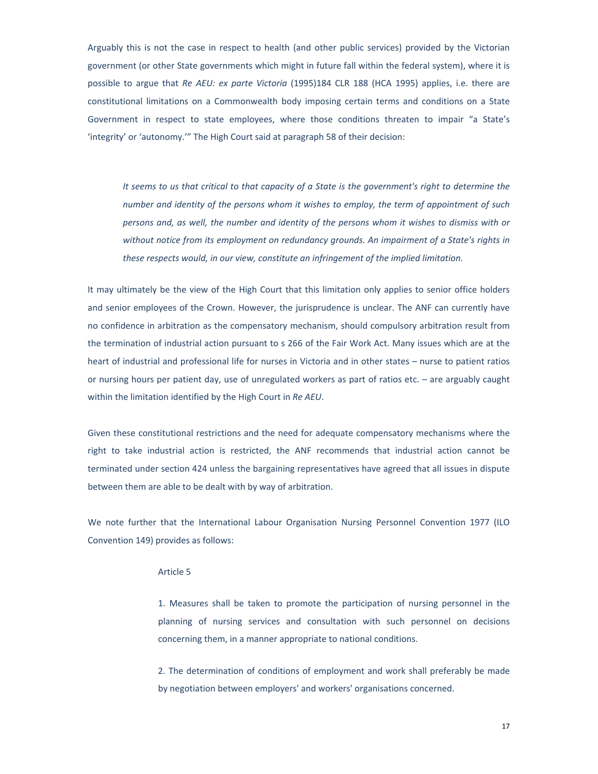Arguably this is not the case in respect to health (and other public services) provided by the Victorian government (or other State governments which might in future fall within the federal system), where it is possible to argue that *Re AEU: ex parte Victoria* (1995)184 CLR 188 (HCA 1995) applies, i.e. there are constitutional limitations on a Commonwealth body imposing certain terms and conditions on a State Government in respect to state employees, where those conditions threaten to impair "a State's 'integrity' or 'autonomy.'" The High Court said at paragraph 58 of their decision:

It seems to us that critical to that capacity of a State is the government's right to determine the *number and identity of the persons whom it wishes to employ, the term of appointment of such persons and, as well, the number and identity of the persons whom it wishes to dismiss with or without notice from its employment on redundancy grounds. An impairment of a State's rights in these respects would, in our view, constitute an infringement of the implied limitation.* 

It may ultimately be the view of the High Court that this limitation only applies to senior office holders and senior employees of the Crown. However, the jurisprudence is unclear. The ANF can currently have no confidence in arbitration as the compensatory mechanism, should compulsory arbitration result from the termination of industrial action pursuant to s 266 of the Fair Work Act. Many issues which are at the heart of industrial and professional life for nurses in Victoria and in other states – nurse to patient ratios or nursing hours per patient day, use of unregulated workers as part of ratios etc. – are arguably caught within the limitation identified by the High Court in *Re AEU*.

Given these constitutional restrictions and the need for adequate compensatory mechanisms where the right to take industrial action is restricted, the ANF recommends that industrial action cannot be terminated under section 424 unless the bargaining representatives have agreed that all issues in dispute between them are able to be dealt with by way of arbitration.

We note further that the International Labour Organisation Nursing Personnel Convention 1977 (ILO Convention 149) provides as follows:

#### Article 5

1. Measures shall be taken to promote the participation of nursing personnel in the planning of nursing services and consultation with such personnel on decisions concerning them, in a manner appropriate to national conditions.

2. The determination of conditions of employment and work shall preferably be made by negotiation between employers' and workers' organisations concerned.

17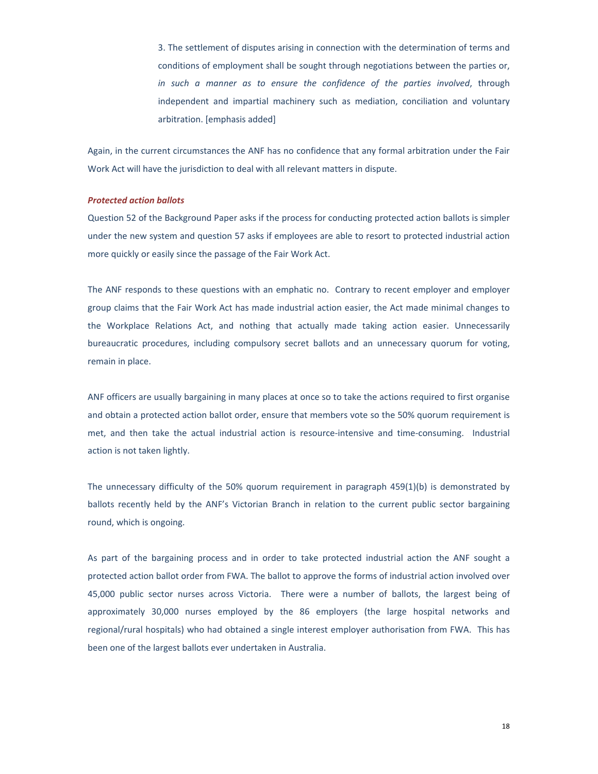3. The settlement of disputes arising in connection with the determination of terms and conditions of employment shall be sought through negotiations between the parties or, *in such a manner as to ensure the confidence of the parties involved*, through independent and impartial machinery such as mediation, conciliation and voluntary arbitration. [emphasis added]

Again, in the current circumstances the ANF has no confidence that any formal arbitration under the Fair Work Act will have the jurisdiction to deal with all relevant matters in dispute.

#### *Protected action ballots*

Question 52 of the Background Paper asks if the process for conducting protected action ballots is simpler under the new system and question 57 asks if employees are able to resort to protected industrial action more quickly or easily since the passage of the Fair Work Act.

The ANF responds to these questions with an emphatic no. Contrary to recent employer and employer group claims that the Fair Work Act has made industrial action easier, the Act made minimal changes to the Workplace Relations Act, and nothing that actually made taking action easier. Unnecessarily bureaucratic procedures, including compulsory secret ballots and an unnecessary quorum for voting, remain in place.

ANF officers are usually bargaining in many places at once so to take the actions required to first organise and obtain a protected action ballot order, ensure that members vote so the 50% quorum requirement is met, and then take the actual industrial action is resource-intensive and time-consuming. Industrial action is not taken lightly.

The unnecessary difficulty of the 50% quorum requirement in paragraph 459(1)(b) is demonstrated by ballots recently held by the ANF's Victorian Branch in relation to the current public sector bargaining round, which is ongoing.

As part of the bargaining process and in order to take protected industrial action the ANF sought a protected action ballot order from FWA. The ballot to approve the forms of industrial action involved over 45,000 public sector nurses across Victoria. There were a number of ballots, the largest being of approximately 30,000 nurses employed by the 86 employers (the large hospital networks and regional/rural hospitals) who had obtained a single interest employer authorisation from FWA. This has been one of the largest ballots ever undertaken in Australia.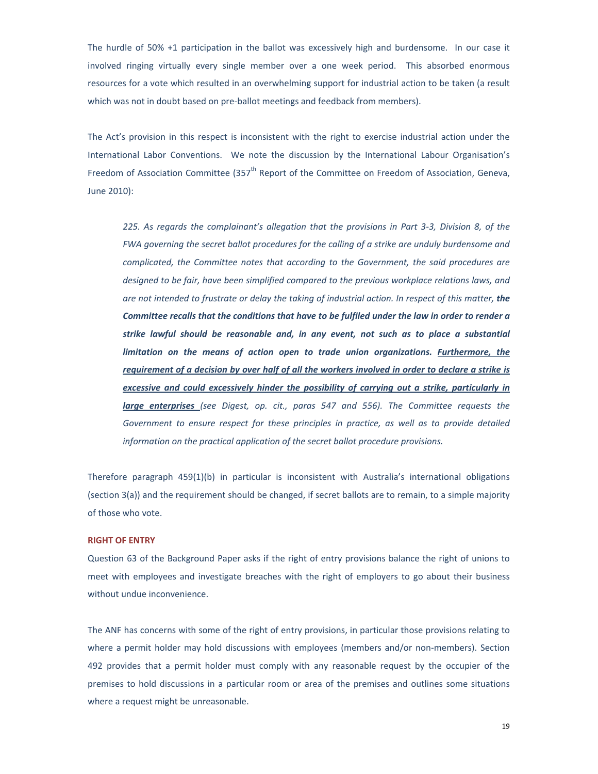The hurdle of 50% +1 participation in the ballot was excessively high and burdensome. In our case it involved ringing virtually every single member over a one week period. This absorbed enormous resources for a vote which resulted in an overwhelming support for industrial action to be taken (a result which was not in doubt based on pre-ballot meetings and feedback from members).

The Act's provision in this respect is inconsistent with the right to exercise industrial action under the International Labor Conventions. We note the discussion by the International Labour Organisation's Freedom of Association Committee (357<sup>th</sup> Report of the Committee on Freedom of Association, Geneva, June 2010):

*225. As regards the complainant's allegation that the provisions in Part 3‐3, Division 8, of the FWA governing the secret ballot procedures for the calling of a strike are unduly burdensome and complicated, the Committee notes that according to the Government, the said procedures are designed to be fair, have been simplified compared to the previous workplace relations laws, and* are not intended to frustrate or delay the taking of industrial action. In respect of this matter, the *Committee recalls that the conditions that have to be fulfiled under the law in order to render a strike lawful should be reasonable and, in any event, not such as to place a substantial limitation on the means of action open to trade union organizations. Furthermore, the* requirement of a decision by over half of all the workers involved in order to declare a strike is *excessive and could excessively hinder the possibility of carrying out a strike, particularly in large enterprises (see Digest, op. cit., paras 547 and 556). The Committee requests the Government to ensure respect for these principles in practice, as well as to provide detailed information on the practical application of the secret ballot procedure provisions.*

Therefore paragraph 459(1)(b) in particular is inconsistent with Australia's international obligations (section 3(a)) and the requirement should be changed, if secret ballots are to remain, to a simple majority of those who vote.

#### **RIGHT OF ENTRY**

Question 63 of the Background Paper asks if the right of entry provisions balance the right of unions to meet with employees and investigate breaches with the right of employers to go about their business without undue inconvenience.

The ANF has concerns with some of the right of entry provisions, in particular those provisions relating to where a permit holder may hold discussions with employees (members and/or non-members). Section 492 provides that a permit holder must comply with any reasonable request by the occupier of the premises to hold discussions in a particular room or area of the premises and outlines some situations where a request might be unreasonable.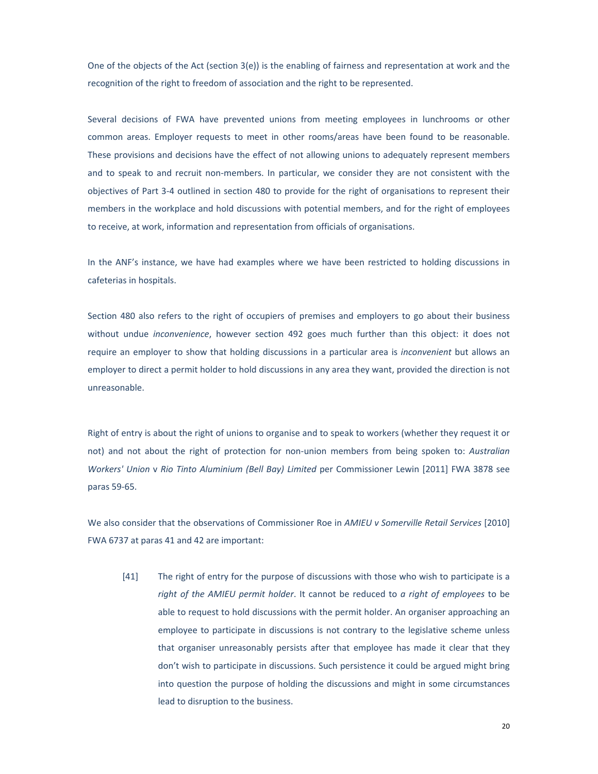One of the objects of the Act (section 3(e)) is the enabling of fairness and representation at work and the recognition of the right to freedom of association and the right to be represented.

Several decisions of FWA have prevented unions from meeting employees in lunchrooms or other common areas. Employer requests to meet in other rooms/areas have been found to be reasonable. These provisions and decisions have the effect of not allowing unions to adequately represent members and to speak to and recruit non-members. In particular, we consider they are not consistent with the objectives of Part 3‐4 outlined in section 480 to provide for the right of organisations to represent their members in the workplace and hold discussions with potential members, and for the right of employees to receive, at work, information and representation from officials of organisations.

In the ANF's instance, we have had examples where we have been restricted to holding discussions in cafeterias in hospitals.

Section 480 also refers to the right of occupiers of premises and employers to go about their business without undue *inconvenience*, however section 492 goes much further than this object: it does not require an employer to show that holding discussions in a particular area is *inconvenient* but allows an employer to direct a permit holder to hold discussions in any area they want, provided the direction is not unreasonable.

Right of entry is about the right of unions to organise and to speak to workers (whether they request it or not) and not about the right of protection for non‐union members from being spoken to: *Australian Workers' Union* v *Rio Tinto Aluminium (Bell Bay) Limited* per Commissioner Lewin [2011] FWA 3878 see paras 59‐65.

We also consider that the observations of Commissioner Roe in *AMIEU v Somerville Retail Services* [2010] FWA 6737 at paras 41 and 42 are important:

[41] The right of entry for the purpose of discussions with those who wish to participate is a *right of the AMIEU permit holder*. It cannot be reduced to *a right of employees* to be able to request to hold discussions with the permit holder. An organiser approaching an employee to participate in discussions is not contrary to the legislative scheme unless that organiser unreasonably persists after that employee has made it clear that they don't wish to participate in discussions. Such persistence it could be argued might bring into question the purpose of holding the discussions and might in some circumstances lead to disruption to the business.